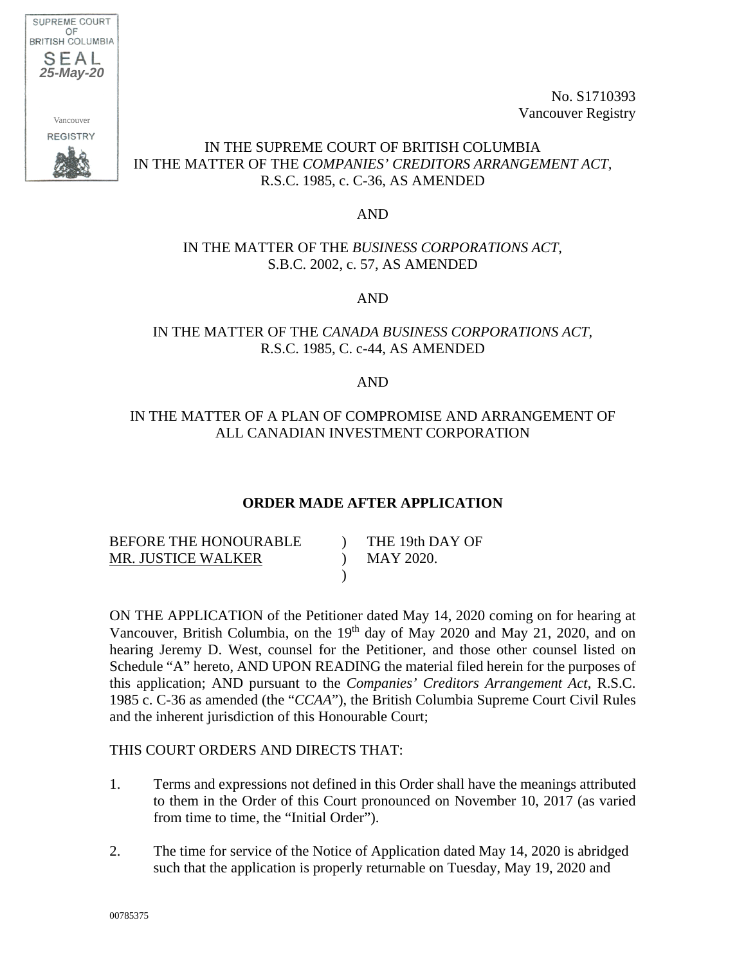

No. S1710393 Vancouver Registry

## IN THE SUPREME COURT OF BRITISH COLUMBIA IN THE MATTER OF THE *COMPANIES' CREDITORS ARRANGEMENT ACT,*  R.S.C. 1985, c. C-36, AS AMENDED

#### AND

### IN THE MATTER OF THE *BUSINESS CORPORATIONS ACT,*  S.B.C. 2002, c. 57, AS AMENDED

AND

## IN THE MATTER OF THE *CANADA BUSINESS CORPORATIONS ACT,*  R.S.C. 1985, C. c-44, AS AMENDED

#### AND

## IN THE MATTER OF A PLAN OF COMPROMISE AND ARRANGEMENT OF ALL CANADIAN INVESTMENT CORPORATION

#### **ORDER MADE AFTER APPLICATION**

| BEFORE THE HONOURABLE | THE 19th DAY OF |
|-----------------------|-----------------|
| MR. JUSTICE WALKER    | MAY 2020.       |
|                       |                 |

ON THE APPLICATION of the Petitioner dated May 14, 2020 coming on for hearing at Vancouver, British Columbia, on the 19<sup>th</sup> day of May 2020 and May 21, 2020, and on hearing Jeremy D. West, counsel for the Petitioner, and those other counsel listed on Schedule "A" hereto, AND UPON READING the material filed herein for the purposes of this application; AND pursuant to the *Companies' Creditors Arrangement Act*, R.S.C. 1985 c. C-36 as amended (the "*CCAA*"), the British Columbia Supreme Court Civil Rules and the inherent jurisdiction of this Honourable Court;

#### THIS COURT ORDERS AND DIRECTS THAT:

- 1. Terms and expressions not defined in this Order shall have the meanings attributed to them in the Order of this Court pronounced on November 10, 2017 (as varied from time to time, the "Initial Order").
- 2. The time for service of the Notice of Application dated May 14, 2020 is abridged such that the application is properly returnable on Tuesday, May 19, 2020 and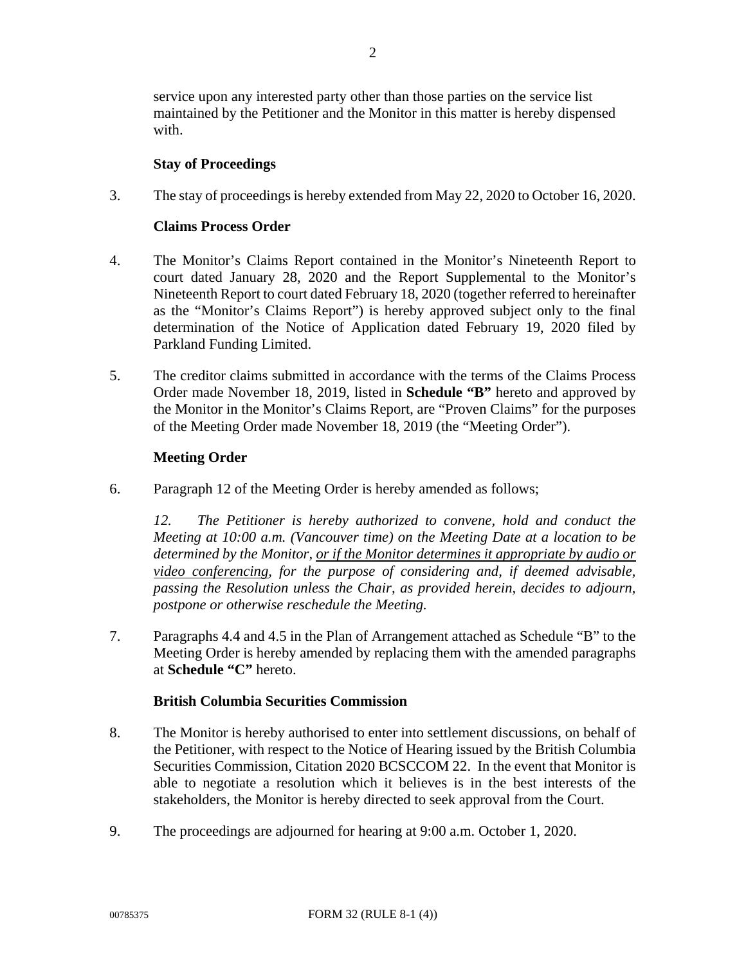service upon any interested party other than those parties on the service list maintained by the Petitioner and the Monitor in this matter is hereby dispensed with.

#### **Stay of Proceedings**

3. The stay of proceedings is hereby extended from May 22, 2020 to October 16, 2020.

#### **Claims Process Order**

- 4. The Monitor's Claims Report contained in the Monitor's Nineteenth Report to court dated January 28, 2020 and the Report Supplemental to the Monitor's Nineteenth Report to court dated February 18, 2020 (together referred to hereinafter as the "Monitor's Claims Report") is hereby approved subject only to the final determination of the Notice of Application dated February 19, 2020 filed by Parkland Funding Limited.
- 5. The creditor claims submitted in accordance with the terms of the Claims Process Order made November 18, 2019, listed in **Schedule "B"** hereto and approved by the Monitor in the Monitor's Claims Report, are "Proven Claims" for the purposes of the Meeting Order made November 18, 2019 (the "Meeting Order").

#### **Meeting Order**

6. Paragraph 12 of the Meeting Order is hereby amended as follows;

*12. The Petitioner is hereby authorized to convene, hold and conduct the Meeting at 10:00 a.m. (Vancouver time) on the Meeting Date at a location to be determined by the Monitor, or if the Monitor determines it appropriate by audio or video conferencing, for the purpose of considering and, if deemed advisable, passing the Resolution unless the Chair, as provided herein, decides to adjourn, postpone or otherwise reschedule the Meeting.* 

7. Paragraphs 4.4 and 4.5 in the Plan of Arrangement attached as Schedule "B" to the Meeting Order is hereby amended by replacing them with the amended paragraphs at **Schedule "C"** hereto.

## **British Columbia Securities Commission**

- 8. The Monitor is hereby authorised to enter into settlement discussions, on behalf of the Petitioner, with respect to the Notice of Hearing issued by the British Columbia Securities Commission, Citation 2020 BCSCCOM 22. In the event that Monitor is able to negotiate a resolution which it believes is in the best interests of the stakeholders, the Monitor is hereby directed to seek approval from the Court.
- 9. The proceedings are adjourned for hearing at 9:00 a.m. October 1, 2020.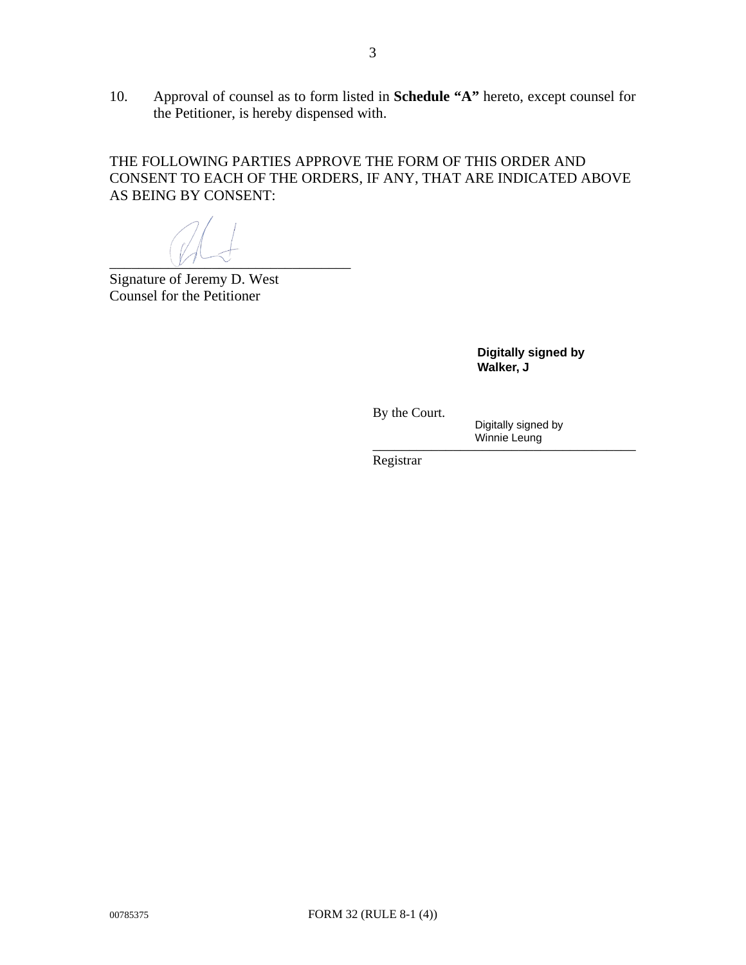10. Approval of counsel as to form listed in **Schedule "A"** hereto, except counsel for the Petitioner, is hereby dispensed with.

THE FOLLOWING PARTIES APPROVE THE FORM OF THIS ORDER AND CONSENT TO EACH OF THE ORDERS, IF ANY, THAT ARE INDICATED ABOVE AS BEING BY CONSENT:

 $\overline{v}$ 

Signature of Jeremy D. West Counsel for the Petitioner

**Digitally signed by Walker, J**

By the Court.

 \_\_\_\_\_\_\_\_\_\_\_\_\_\_\_\_\_\_\_\_\_\_\_\_\_\_\_\_\_\_\_\_\_\_\_\_ Digitally signed by Winnie Leung

Registrar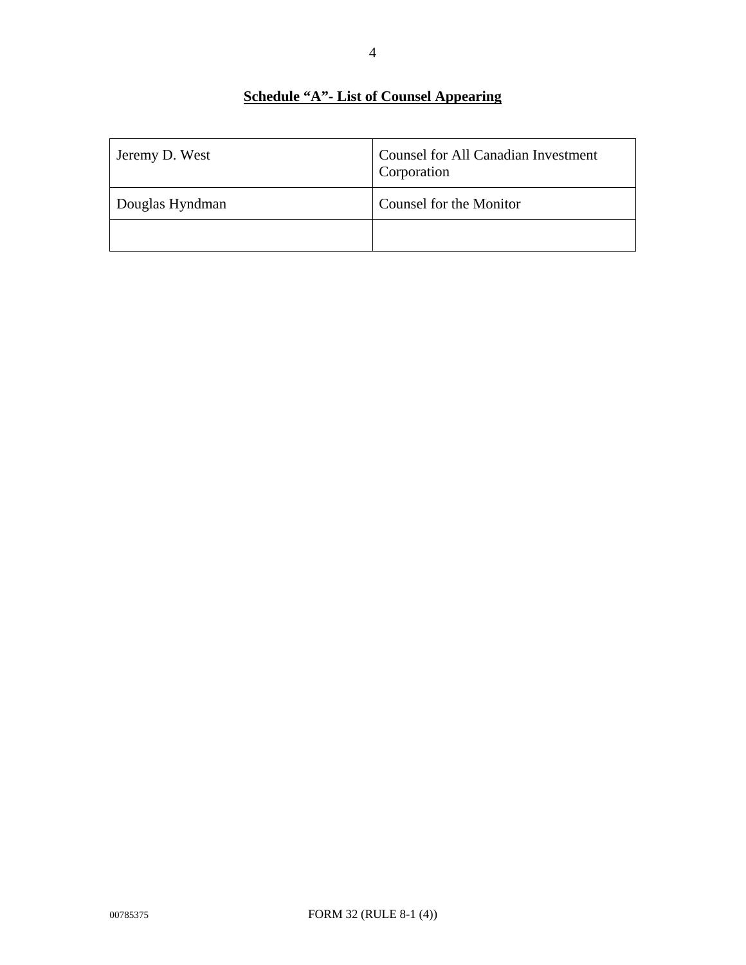## **Schedule "A"- List of Counsel Appearing**

| Jeremy D. West  | <b>Counsel for All Canadian Investment</b><br>Corporation |
|-----------------|-----------------------------------------------------------|
| Douglas Hyndman | Counsel for the Monitor                                   |
|                 |                                                           |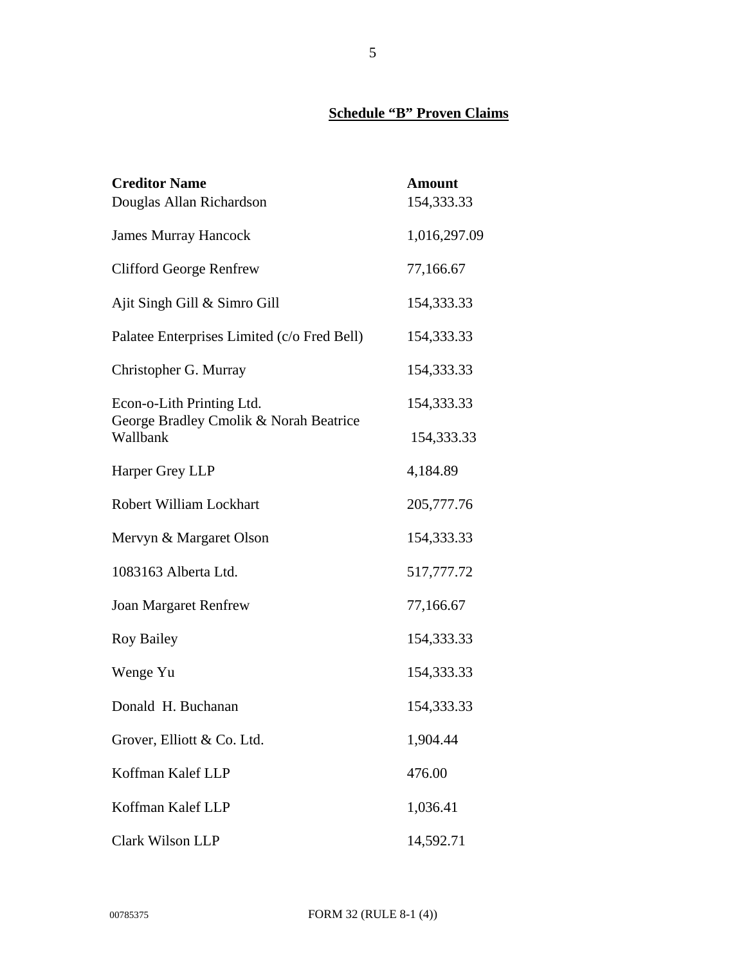# **Schedule "B" Proven Claims**

| <b>Creditor Name</b>                               | <b>Amount</b> |
|----------------------------------------------------|---------------|
| Douglas Allan Richardson                           | 154,333.33    |
| <b>James Murray Hancock</b>                        | 1,016,297.09  |
| <b>Clifford George Renfrew</b>                     | 77,166.67     |
| Ajit Singh Gill & Simro Gill                       | 154,333.33    |
| Palatee Enterprises Limited (c/o Fred Bell)        | 154,333.33    |
| Christopher G. Murray                              | 154,333.33    |
| Econ-o-Lith Printing Ltd.                          | 154,333.33    |
| George Bradley Cmolik & Norah Beatrice<br>Wallbank | 154,333.33    |
| Harper Grey LLP                                    | 4,184.89      |
| Robert William Lockhart                            | 205,777.76    |
| Mervyn & Margaret Olson                            | 154,333.33    |
| 1083163 Alberta Ltd.                               | 517,777.72    |
| <b>Joan Margaret Renfrew</b>                       | 77,166.67     |
| <b>Roy Bailey</b>                                  | 154,333.33    |
| Wenge Yu                                           | 154,333.33    |
| Donald H. Buchanan                                 | 154,333.33    |
| Grover, Elliott & Co. Ltd.                         | 1,904.44      |
| Koffman Kalef LLP                                  | 476.00        |
| Koffman Kalef LLP                                  | 1,036.41      |
| Clark Wilson LLP                                   | 14,592.71     |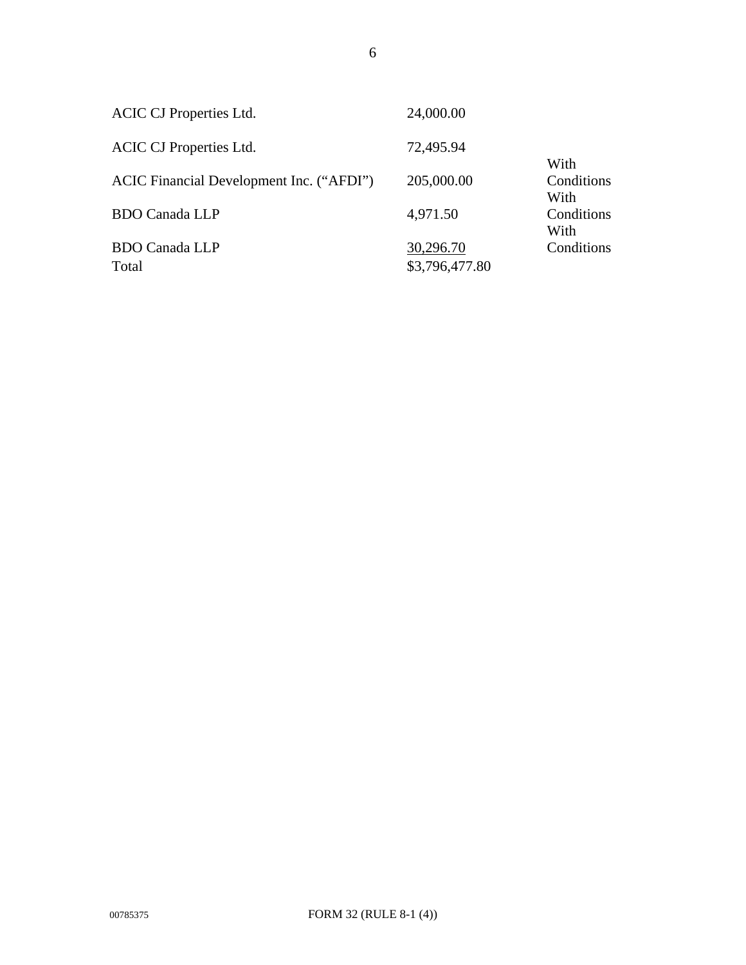| <b>ACIC CJ Properties Ltd.</b>           | 24,000.00      |                    |
|------------------------------------------|----------------|--------------------|
| <b>ACIC CJ Properties Ltd.</b>           | 72,495.94      | With               |
| ACIC Financial Development Inc. ("AFDI") | 205,000.00     | Conditions<br>With |
| <b>BDO Canada LLP</b>                    | 4,971.50       | Conditions<br>With |
| <b>BDO Canada LLP</b>                    | 30,296.70      | Conditions         |
| Total                                    | \$3,796,477.80 |                    |